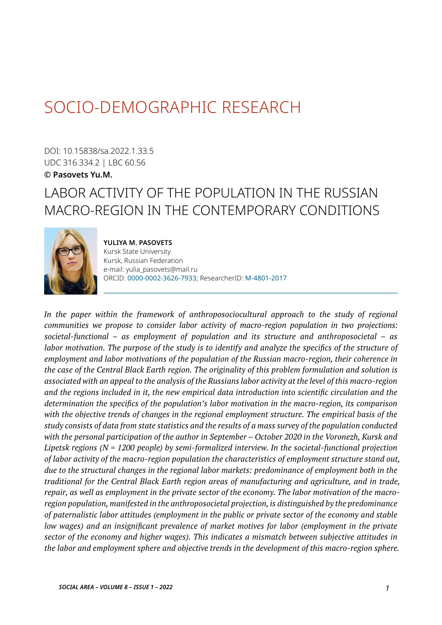# SOCIO-DEMOGRAPHIC RESEARCH

DOI: 10.15838/sa.2022.1.33.5 UDC 316.334.2 | LBC 60.56 **© Pasovets Yu.M.**

# LABOR ACTIVITY OF THE POPULATION IN THE RUSSIAN MACRO-REGION IN THE CONTEMPORARY CONDITIONS



**YULIYA M. PASOVETS** Kursk State University Kursk, Russian Federation e-mail: yulia\_pasovets@mail.ru ORCID: [0000-0002-3626-7933;](https://orcid.org/0000-0002-3626-7933) ResearcherID: [M-4801-2017](http://www.researcherid.com/rid/M-4801-2017)

In the paper within the framework of anthroposociocultural approach to the study of regional *communities we propose to consider labor activity of macro-region population in two projections: societal-functional – as employment of population and its structure and anthroposocietal – as labor motivation. The purpose of the study is to identify and analyze the specifics of the structure of employment and labor motivations of the population of the Russian macro-region, their coherence in the case of the Central Black Earth region. The originality of this problem formulation and solution is associated with an appeal to the analysis of the Russians labor activity at the level of this macro-region and the regions included in it, the new empirical data introduction into scientific circulation and the determination the specifics of the population's labor motivation in the macro-region, its comparison with the objective trends of changes in the regional employment structure. The empirical basis of the study consists of data from state statistics and the results of a mass survey of the population conducted with the personal participation of the author in September – October 2020 in the Voronezh, Kursk and Lipetsk regions (N = 1200 people) by semi-formalized interview. In the societal-functional projection of labor activity of the macro-region population the characteristics of employment structure stand out, due to the structural changes in the regional labor markets: predominance of employment both in the traditional for the Central Black Earth region areas of manufacturing and agriculture, and in trade, repair, as well as employment in the private sector of the economy. The labor motivation of the macroregion population, manifested in the anthroposocietal projection, is distinguished by the predominance of paternalistic labor attitudes (employment in the public or private sector of the economy and stable low wages) and an insignificant prevalence of market motives for labor (employment in the private sector of the economy and higher wages). This indicates a mismatch between subjective attitudes in the labor and employment sphere and objective trends in the development of this macro-region sphere.*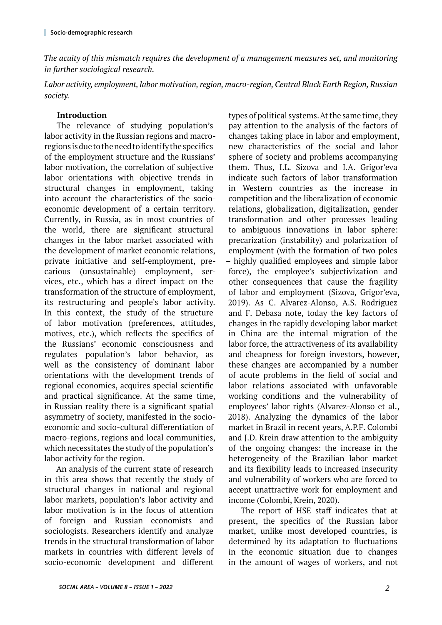*The acuity of this mismatch requires the development of a management measures set, and monitoring in further sociological research.* 

*Labor activity, employment, labor motivation, region, macro-region, Central Black Earth Region, Russian society.*

## **Introduction**

The relevance of studying population's labor activity in the Russian regions and macroregions is due to the need to identify the specifics of the employment structure and the Russians' labor motivation, the correlation of subjective labor orientations with objective trends in structural changes in employment, taking into account the characteristics of the socioeconomic development of a certain territory. Currently, in Russia, as in most countries of the world, there are significant structural changes in the labor market associated with the development of market economic relations, private initiative and self-employment, precarious (unsustainable) employment, services, etc., which has a direct impact on the transformation of the structure of employment, its restructuring and people's labor activity. In this context, the study of the structure of labor motivation (preferences, attitudes, motives, etc.), which reflects the specifics of the Russians' economic consciousness and regulates population's labor behavior, as well as the consistency of dominant labor orientations with the development trends of regional economies, acquires special scientific and practical significance. At the same time, in Russian reality there is a significant spatial asymmetry of society, manifested in the socioeconomic and socio-cultural differentiation of macro-regions, regions and local communities, which necessitates the study of the population's labor activity for the region.

An analysis of the current state of research in this area shows that recently the study of structural changes in national and regional labor markets, population's labor activity and labor motivation is in the focus of attention of foreign and Russian economists and sociologists. Researchers identify and analyze trends in the structural transformation of labor markets in countries with different levels of socio-economic development and different

types of political systems. At the same time, they pay attention to the analysis of the factors of changes taking place in labor and employment, new characteristics of the social and labor sphere of society and problems accompanying them. Thus, I.L. Sizova and I.A. Grigor'eva indicate such factors of labor transformation in Western countries as the increase in competition and the liberalization of economic relations, globalization, digitalization, gender transformation and other processes leading to ambiguous innovations in labor sphere: precarization (instability) and polarization of employment (with the formation of two poles – highly qualified employees and simple labor force), the employee's subjectivization and other consequences that cause the fragility of labor and employment (Sizova, Grigor'eva, 2019). As C. Alvarez-Alonso, A.S. Rodriguez and F. Debasa note, today the key factors of changes in the rapidly developing labor market in China are the internal migration of the labor force, the attractiveness of its availability and cheapness for foreign investors, however, these changes are accompanied by a number of acute problems in the field of social and labor relations associated with unfavorable working conditions and the vulnerability of employees' labor rights (Alvarez-Alonso et al., 2018). Analyzing the dynamics of the labor market in Brazil in recent years, A.P.F. Colombi and J.D. Krein draw attention to the ambiguity of the ongoing changes: the increase in the heterogeneity of the Brazilian labor market and its flexibility leads to increased insecurity and vulnerability of workers who are forced to accept unattractive work for employment and income (Colombi, Krein, 2020).

The report of HSE staff indicates that at present, the specifics of the Russian labor market, unlike most developed countries, is determined by its adaptation to fluctuations in the economic situation due to changes in the amount of wages of workers, and not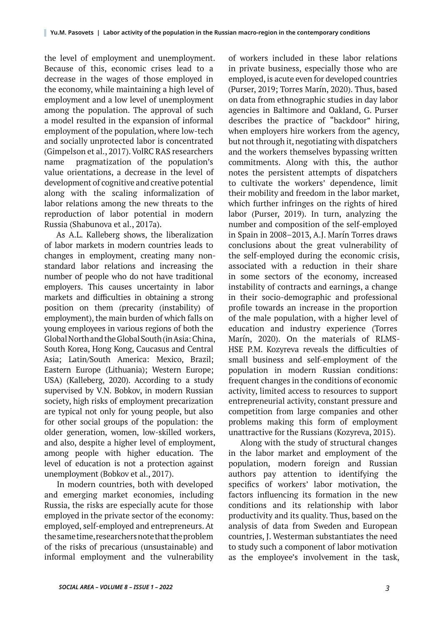the level of employment and unemployment. Because of this, economic crises lead to a decrease in the wages of those employed in the economy, while maintaining a high level of employment and a low level of unemployment among the population. The approval of such a model resulted in the expansion of informal employment of the population, where low-tech and socially unprotected labor is concentrated (Gimpelson et al., 2017). VolRC RAS researchers name pragmatization of the population's value orientations, a decrease in the level of development of cognitive and creative potential along with the scaling informalization of labor relations among the new threats to the reproduction of labor potential in modern Russia (Shabunova et al., 2017a).

As A.L. Kalleberg shows, the liberalization of labor markets in modern countries leads to changes in employment, creating many nonstandard labor relations and increasing the number of people who do not have traditional employers. This causes uncertainty in labor markets and difficulties in obtaining a strong position on them (precarity (instability) of employment), the main burden of which falls on young employees in various regions of both the Global North and the Global South (in Asia: China, South Korea, Hong Kong, Caucasus and Central Asia; Latin/South America: Mexico, Brazil; Eastern Europe (Lithuania); Western Europe; USA) (Kalleberg, 2020). According to a study supervised by V.N. Bobkov, in modern Russian society, high risks of employment precarization are typical not only for young people, but also for other social groups of the population: the older generation, women, low-skilled workers, and also, despite a higher level of employment, among people with higher education. The level of education is not a protection against unemployment (Bobkov et al., 2017).

In modern countries, both with developed and emerging market economies, including Russia, the risks are especially acute for those employed in the private sector of the economy: employed, self-employed and entrepreneurs. At the same time, researchers note that the problem of the risks of precarious (unsustainable) and informal employment and the vulnerability of workers included in these labor relations in private business, especially those who are employed, is acute even for developed countries (Purser, 2019; Torres Marín, 2020). Thus, based on data from ethnographic studies in day labor agencies in Baltimore and Oakland, G. Purser describes the practice of "backdoor" hiring, when employers hire workers from the agency, but not through it, negotiating with dispatchers and the workers themselves bypassing written commitments. Along with this, the author notes the persistent attempts of dispatchers to cultivate the workers' dependence, limit their mobility and freedom in the labor market, which further infringes on the rights of hired labor (Purser, 2019). In turn, analyzing the number and composition of the self-employed in Spain in 2008–2013, A.J. Marín Torres draws conclusions about the great vulnerability of the self-employed during the economic crisis, associated with a reduction in their share in some sectors of the economy, increased instability of contracts and earnings, a change in their socio-demographic and professional profile towards an increase in the proportion of the male population, with a higher level of education and industry experience (Torres Marín, 2020). On the materials of RLMS-HSE P.M. Kozyreva reveals the difficulties of small business and self-employment of the population in modern Russian conditions: frequent changes in the conditions of economic activity, limited access to resources to support entrepreneurial activity, constant pressure and competition from large companies and other problems making this form of employment unattractive for the Russians (Kozyreva, 2015).

Along with the study of structural changes in the labor market and employment of the population, modern foreign and Russian authors pay attention to identifying the specifics of workers' labor motivation, the factors influencing its formation in the new conditions and its relationship with labor productivity and its quality. Thus, based on the analysis of data from Sweden and European countries, J. Westerman substantiates the need to study such a component of labor motivation as the employee's involvement in the task,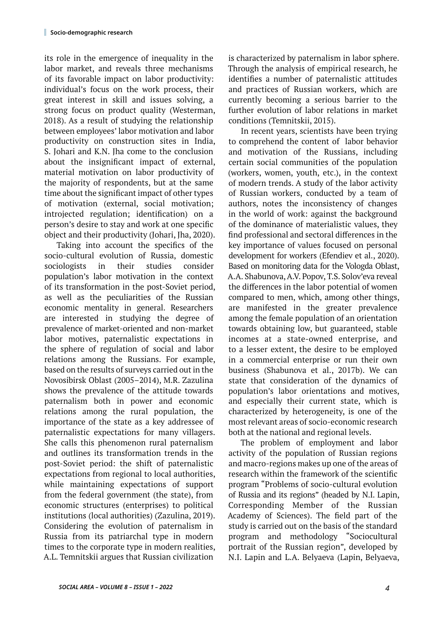its role in the emergence of inequality in the labor market, and reveals three mechanisms of its favorable impact on labor productivity: individual's focus on the work process, their great interest in skill and issues solving, a strong focus on product quality (Westerman, 2018). As a result of studying the relationship between employees' labor motivation and labor productivity on construction sites in India, S. Johari and K.N. Jha come to the conclusion about the insignificant impact of external, material motivation on labor productivity of the majority of respondents, but at the same time about the significant impact of other types of motivation (external, social motivation; introjected regulation; identification) on a person's desire to stay and work at one specific object and their productivity (Johari, Jha, 2020).

Taking into account the specifics of the socio-cultural evolution of Russia, domestic sociologists in their studies consider population's labor motivation in the context of its transformation in the post-Soviet period, as well as the peculiarities of the Russian economic mentality in general. Researchers are interested in studying the degree of prevalence of market-oriented and non-market labor motives, paternalistic expectations in the sphere of regulation of social and labor relations among the Russians. For example, based on the results of surveys carried out in the Novosibirsk Oblast (2005‒2014), M.R. Zazulina shows the prevalence of the attitude towards paternalism both in power and economic relations among the rural population, the importance of the state as a key addressee of paternalistic expectations for many villagers. She calls this phenomenon rural paternalism and outlines its transformation trends in the post-Soviet period: the shift of paternalistic expectations from regional to local authorities, while maintaining expectations of support from the federal government (the state), from economic structures (enterprises) to political institutions (local authorities) (Zazulina, 2019). Considering the evolution of paternalism in Russia from its patriarchal type in modern times to the corporate type in modern realities, A.L. Temnitskii argues that Russian civilization

is characterized by paternalism in labor sphere. Through the analysis of empirical research, he identifies a number of paternalistic attitudes and practices of Russian workers, which are currently becoming a serious barrier to the further evolution of labor relations in market conditions (Temnitskii, 2015).

In recent years, scientists have been trying to comprehend the content of labor behavior and motivation of the Russians, including certain social communities of the population (workers, women, youth, etc.), in the context of modern trends. A study of the labor activity of Russian workers, conducted by a team of authors, notes the inconsistency of changes in the world of work: against the background of the dominance of materialistic values, they find professional and sectoral differences in the key importance of values focused on personal development for workers (Efendiev et al., 2020). Based on monitoring data for the Vologda Oblast, A.A. Shabunova, A.V. Popov, T.S. Solov'eva reveal the differences in the labor potential of women compared to men, which, among other things, are manifested in the greater prevalence among the female population of an orientation towards obtaining low, but guaranteed, stable incomes at a state-owned enterprise, and to a lesser extent, the desire to be employed in a commercial enterprise or run their own business (Shabunova et al., 2017b). We can state that consideration of the dynamics of population's labor orientations and motives, and especially their current state, which is characterized by heterogeneity, is one of the most relevant areas of socio-economic research both at the national and regional levels.

The problem of employment and labor activity of the population of Russian regions and macro-regions makes up one of the areas of research within the framework of the scientific program "Problems of socio-cultural evolution of Russia and its regions" (headed by N.I. Lapin, Corresponding Member of the Russian Academy of Sciences). The field part of the study is carried out on the basis of the standard program and methodology "Sociocultural portrait of the Russian region", developed by N.I. Lapin and L.A. Belyaeva (Lapin, Belyaeva,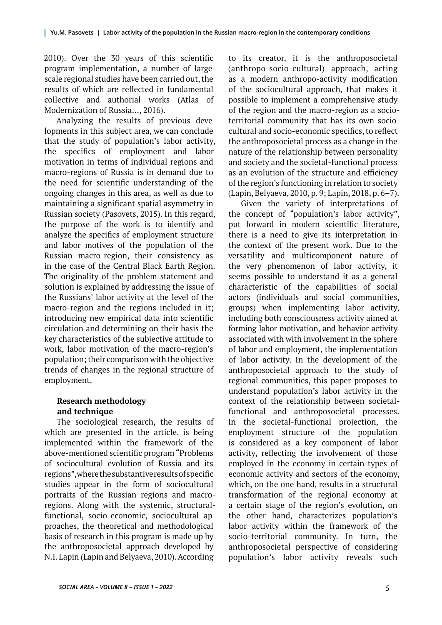2010). Over the 30 years of this scientific program implementation, a number of largescale regional studies have been carried out, the results of which are reflected in fundamental collective and authorial works (Atlas of Modernization of Russia..., 2016).

Analyzing the results of previous developments in this subject area, we can conclude that the study of population's labor activity, the specifics of employment and labor motivation in terms of individual regions and macro-regions of Russia is in demand due to the need for scientific understanding of the ongoing changes in this area, as well as due to maintaining a significant spatial asymmetry in Russian society (Pasovets, 2015). In this regard, the purpose of the work is to identify and analyze the specifics of employment structure and labor motives of the population of the Russian macro-region, their consistency as in the case of the Central Black Earth Region. The originality of the problem statement and solution is explained by addressing the issue of the Russians' labor activity at the level of the macro-region and the regions included in it; introducing new empirical data into scientific circulation and determining on their basis the key characteristics of the subjective attitude to work, labor motivation of the macro-region's population; their comparison with the objective trends of changes in the regional structure of employment.

# **Research methodology and technique**

The sociological research, the results of which are presented in the article, is being implemented within the framework of the above-mentioned scientific program "Problems of sociocultural evolution of Russia and its regions", where the substantive results of specific studies appear in the form of sociocultural portraits of the Russian regions and macroregions. Along with the systemic, structuralfunctional, socio-economic, sociocultural approaches, the theoretical and methodological basis of research in this program is made up by the anthroposocietal approach developed by N.I. Lapin (Lapin and Belyaeva, 2010). According

to its creator, it is the anthroposocietal (anthropo-socio-cultural) approach, acting as a modern anthropo-activity modification of the sociocultural approach, that makes it possible to implement a comprehensive study of the region and the macro-region as a socioterritorial community that has its own sociocultural and socio-economic specifics, to reflect the anthroposocietal process as a change in the nature of the relationship between personality and society and the societal-functional process as an evolution of the structure and efficiency of the region's functioning in relation to society (Lapin, Belyaeva, 2010, p. 9; Lapin, 2018, p. 6–7).

Given the variety of interpretations of the concept of "population's labor activity", put forward in modern scientific literature, there is a need to give its interpretation in the context of the present work. Due to the versatility and multicomponent nature of the very phenomenon of labor activity, it seems possible to understand it as a general characteristic of the capabilities of social actors (individuals and social communities, groups) when implementing labor activity, including both consciousness activity aimed at forming labor motivation, and behavior activity associated with with involvement in the sphere of labor and employment, the implementation of labor activity. In the development of the anthroposocietal approach to the study of regional communities, this paper proposes to understand population's labor activity in the context of the relationship between societalfunctional and anthroposocietal processes. In the societal-functional projection, the employment structure of the population is considered as a key component of labor activity, reflecting the involvement of those employed in the economy in certain types of economic activity and sectors of the economy, which, on the one hand, results in a structural transformation of the regional economy at a certain stage of the region's evolution, on the other hand, characterizes population's labor activity within the framework of the socio-territorial community. In turn, the anthroposocietal perspective of considering population's labor activity reveals such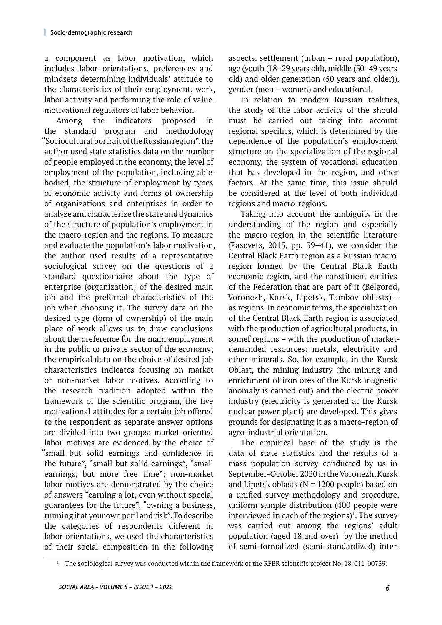a component as labor motivation, which includes labor orientations, preferences and mindsets determining individuals' attitude to the characteristics of their employment, work, labor activity and performing the role of valuemotivational regulators of labor behavior.

Among the indicators proposed in the standard program and methodology "Sociocultural portrait of the Russian region", the author used state statistics data on the number of people employed in the economy, the level of employment of the population, including ablebodied, the structure of employment by types of economic activity and forms of ownership of organizations and enterprises in order to analyze and characterize the state and dynamics of the structure of population's employment in the macro-region and the regions. To measure and evaluate the population's labor motivation, the author used results of a representative sociological survey on the questions of a standard questionnaire about the type of enterprise (organization) of the desired main job and the preferred characteristics of the job when choosing it. The survey data on the desired type (form of ownership) of the main place of work allows us to draw conclusions about the preference for the main employment in the public or private sector of the economy; the empirical data on the choice of desired job characteristics indicates focusing on market or non-market labor motives. According to the research tradition adopted within the framework of the scientific program, the five motivational attitudes for a certain job offered to the respondent as separate answer options are divided into two groups: market-oriented labor motives are evidenced by the choice of "small but solid earnings and confidence in the future", "small but solid earnings", "small earnings, but more free time"; non-market labor motives are demonstrated by the choice of answers "earning a lot, even without special guarantees for the future", "owning a business, running it at your own peril and risk". To describe the categories of respondents different in labor orientations, we used the characteristics of their social composition in the following

aspects, settlement (urban – rural population), age (youth (18‒29 years old), middle (30‒49 years old) and older generation (50 years and older)), gender (men – women) and educational.

In relation to modern Russian realities, the study of the labor activity of the should must be carried out taking into account regional specifics, which is determined by the dependence of the population's employment structure on the specialization of the regional economy, the system of vocational education that has developed in the region, and other factors. At the same time, this issue should be considered at the level of both individual regions and macro-regions.

Taking into account the ambiguity in the understanding of the region and especially the macro-region in the scientific literature (Pasovets, 2015, pp. 39–41), we consider the Central Black Earth region as a Russian macroregion formed by the Central Black Earth economic region, and the constituent entities of the Federation that are part of it (Belgorod, Voronezh, Kursk, Lipetsk, Tambov oblasts) – as regions. In economic terms, the specialization of the Central Black Earth region is associated with the production of agricultural products, in somef regions – with the production of marketdemanded resources: metals, electricity and other minerals. So, for example, in the Kursk Oblast, the mining industry (the mining and enrichment of iron ores of the Kursk magnetic anomaly is carried out) and the electric power industry (electricity is generated at the Kursk nuclear power plant) are developed. This gives grounds for designating it as a macro-region of agro-industrial orientation.

The empirical base of the study is the data of state statistics and the results of a mass population survey conducted by us in September-October 2020 in the Voronezh, Kursk and Lipetsk oblasts ( $N = 1200$  people) based on a unified survey methodology and procedure, uniform sample distribution (400 people were interviewed in each of the regions)<sup>1</sup>. The survey was carried out among the regions' adult population (aged 18 and over) by the method of semi-formalized (semi-standardized) inter-

<sup>&</sup>lt;sup>1</sup> The sociological survey was conducted within the framework of the RFBR scientific project No. 18-011-00739.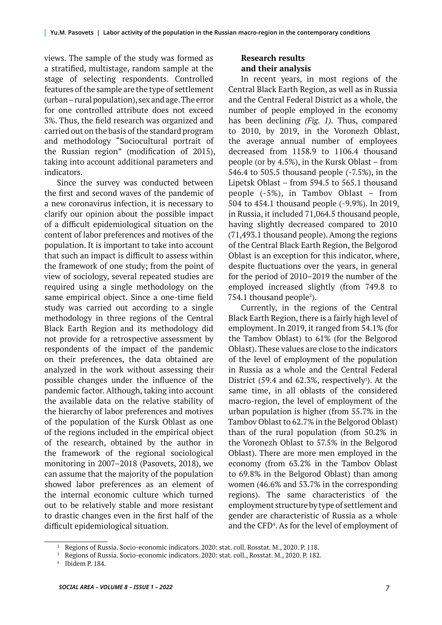views. The sample of the study was formed as a stratified, multistage, random sample at the stage of selecting respondents. Controlled features of the sample are the type of settlement (urban – rural population), sex and age. The error for one controlled attribute does not exceed 3%. Thus, the field research was organized and carried out on the basis of the standard program and methodology "Sociocultural portrait of the Russian region" (modification of 2015), taking into account additional parameters and indicators.

Since the survey was conducted between the first and second waves of the pandemic of a new coronavirus infection, it is necessary to clarify our opinion about the possible impact of a difficult epidemiological situation on the content of labor preferences and motives of the population. It is important to take into account that such an impact is difficult to assess within the framework of one study; from the point of view of sociology, several repeated studies are required using a single methodology on the same empirical object. Since a one-time field study was carried out according to a single methodology in three regions of the Central Black Earth Region and its methodology did not provide for a retrospective assessment by respondents of the impact of the pandemic on their preferences, the data obtained are analyzed in the work without assessing their possible changes under the influence of the pandemic factor. Although, taking into account the available data on the relative stability of the hierarchy of labor preferences and motives of the population of the Kursk Oblast as one of the regions included in the empirical object of the research, obtained by the author in the framework of the regional sociological monitoring in 2007–2018 (Pasovets, 2018), we can assume that the majority of the population showed labor preferences as an element of the internal economic culture which turned out to be relatively stable and more resistant to drastic changes even in the first half of the difficult epidemiological situation.

### **Research results and their analysis**

In recent years, in most regions of the Central Black Earth Region, as well as in Russia and the Central Federal District as a whole, the number of people employed in the economy has been declining *(Fig. 1).* Thus, compared to 2010, by 2019, in the Voronezh Oblast, the average annual number of employees decreased from 1158.9 to 1106.4 thousand people (or by 4.5%), in the Kursk Oblast – from 546.4 to 505.5 thousand people (-7.5%), in the Lipetsk Oblast – from 594.5 to 565.1 thousand people (-5%), in Tambov Oblast – from 504 to 454.1 thousand people (-9.9%). In 2019, in Russia, it included 71,064.5 thousand people, having slightly decreased compared to 2010 (71,493.1 thousand people). Among the regions of the Central Black Earth Region, the Belgorod Oblast is an exception for this indicator, where, despite fluctuations over the years, in general for the period of 2010–2019 the number of the employed increased slightly (from 749.8 to 754.1 thousand people<sup>2</sup>).

Currently, in the regions of the Central Black Earth Region, there is a fairly high level of employment. In 2019, it ranged from 54.1% (for the Tambov Oblast) to 61% (for the Belgorod Oblast). These values are close to the indicators of the level of employment of the population in Russia as a whole and the Central Federal District  $(59.4 \text{ and } 62.3\%$ , respectively<sup>3</sup>). At the same time, in all oblasts of the considered macro-region, the level of employment of the urban population is higher (from 55.7% in the Tambov Oblast to 62.7% in the Belgorod Oblast) than of the rural population (from 50.2% in the Voronezh Oblast to 57.5% in the Belgorod Oblast). There are more men employed in the economy (from 63.2% in the Tambov Oblast to 69.8% in the Belgorod Oblast) than among women (46.6% and 53.7% in the corresponding regions). The same characteristics of the employment structure by type of settlement and gender are characteristic of Russia as a whole and the CFD<sup>4</sup>. As for the level of employment of

<sup>&</sup>lt;sup>2</sup> Regions of Russia. Socio-economic indicators. 2020: stat. coll. Rosstat. M., 2020. P. 118.

<sup>3</sup> Regions of Russia. Socio-economic indicators. 2020: stat. coll., Rosstat. M., 2020. P. 182.

Ibidem P. 184.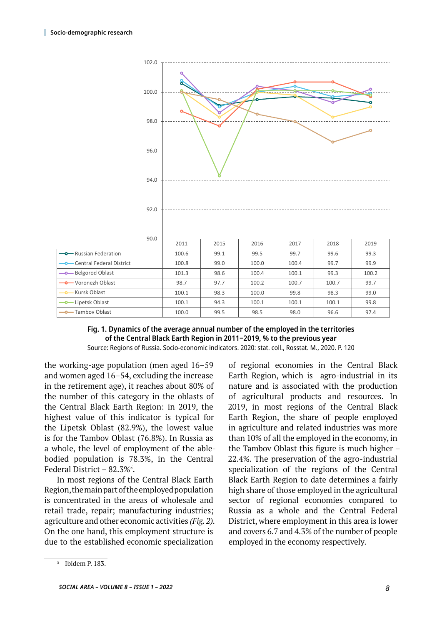

#### **Fig. 1. Dynamics of the average annual number of the employed in the territories of the Central Black Earth Region in 2011‒2019, % to the previous year** Source: Regions of Russia. Socio-economic indicators. 2020: stat. coll., Rosstat. M., 2020. P. 120

the working-age population (men aged  $16-59$ and women aged 16‒54, excluding the increase in the retirement age), it reaches about 80% of the number of this category in the oblasts of the Central Black Earth Region: in 2019, the highest value of this indicator is typical for the Lipetsk Oblast (82.9%), the lowest value is for the Tambov Oblast (76.8%). In Russia as a whole, the level of employment of the ablebodied population is 78.3%, in the Central Federal District – 82.3% $^5\!$ .

In most regions of the Central Black Earth Region, the main part of the employed population is concentrated in the areas of wholesale and retail trade, repair; manufacturing industries; agriculture and other economic activities *(Fig. 2).* On the one hand, this employment structure is due to the established economic specialization

of regional economies in the Central Black Earth Region, which is agro-industrial in its nature and is associated with the production of agricultural products and resources. In 2019, in most regions of the Central Black Earth Region, the share of people employed in agriculture and related industries was more than 10% of all the employed in the economy, in the Tambov Oblast this figure is much higher – 22.4%. The preservation of the agro-industrial specialization of the regions of the Central Black Earth Region to date determines a fairly high share of those employed in the agricultural sector of regional economies compared to Russia as a whole and the Central Federal District, where employment in this area is lower and covers 6.7 and 4.3% of the number of people employed in the economy respectively.

<sup>5</sup> Ibidem P. 183.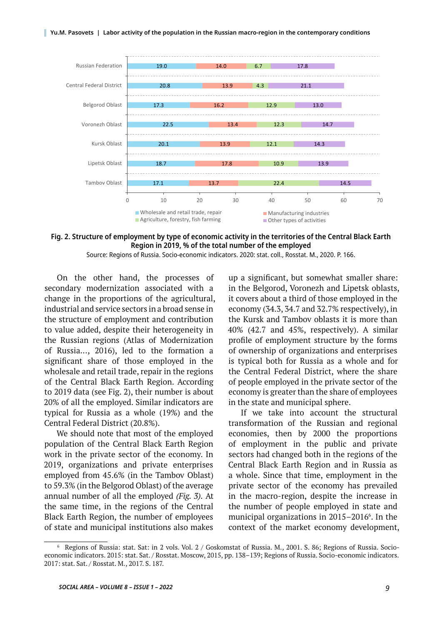

#### **Fig. 2. Structure of employment by type of economic activity in the territories of the Central Black Earth Region in 2019, % of the total number of the employed**

Source: Regions of Russia. Socio-economic indicators. 2020: stat. coll., Rosstat. M., 2020. P. 166.

On the other hand, the processes of secondary modernization associated with a change in the proportions of the agricultural, industrial and service sectors in a broad sense in the structure of employment and contribution to value added, despite their heterogeneity in the Russian regions (Atlas of Modernization of Russia..., 2016), led to the formation a significant share of those employed in the wholesale and retail trade, repair in the regions of the Central Black Earth Region. According to 2019 data (see Fig. 2), their number is about 20% of all the employed. Similar indicators are typical for Russia as a whole (19%) and the Central Federal District (20.8%).

We should note that most of the employed population of the Central Black Earth Region work in the private sector of the economy. In 2019, organizations and private enterprises employed from 45.6% (in the Tambov Oblast) to 59.3% (in the Belgorod Oblast) of the average annual number of all the employed *(Fig. 3).* At the same time, in the regions of the Central Black Earth Region, the number of employees of state and municipal institutions also makes

up a significant, but somewhat smaller share: in the Belgorod, Voronezh and Lipetsk oblasts, it covers about a third of those employed in the economy (34.3, 34.7 and 32.7% respectively), in the Kursk and Tambov oblasts it is more than 40% (42.7 and 45%, respectively). A similar profile of employment structure by the forms of ownership of organizations and enterprises is typical both for Russia as a whole and for the Central Federal District, where the share of people employed in the private sector of the economy is greater than the share of employees in the state and municipal sphere.

If we take into account the structural transformation of the Russian and regional economies, then by 2000 the proportions of employment in the public and private sectors had changed both in the regions of the Central Black Earth Region and in Russia as a whole. Since that time, employment in the private sector of the economy has prevailed in the macro-region, despite the increase in the number of people employed in state and municipal organizations in 2015–2016<sup>6</sup>. In the context of the market economy development,

<sup>6</sup> Regions of Russia: stat. Sat: in 2 vols. Vol. 2 / Goskomstat of Russia. M., 2001. S. 86; Regions of Russia. Socioeconomic indicators. 2015: stat. Sat. / Rosstat. Moscow, 2015, pp. 138–139; Regions of Russia. Socio-economic indicators. 2017: stat. Sat. / Rosstat. M., 2017. S. 187.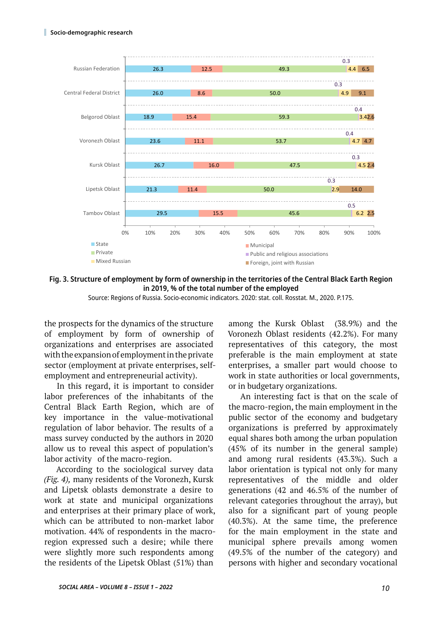

**Fig. 3. Structure of employment by form of ownership in the territories of the Central Black Earth Region in 2019, % of the total number of the employed**

Source: Regions of Russia. Socio-economic indicators. 2020: stat. coll. Rosstat. M., 2020. P.175.

the prospects for the dynamics of the structure of employment by form of ownership of organizations and enterprises are associated with the expansion of employment in the private sector (employment at private enterprises, selfemployment and entrepreneurial activity).

In this regard, it is important to consider labor preferences of the inhabitants of the Central Black Earth Region, which are of key importance in the value-motivational regulation of labor behavior. The results of a mass survey conducted by the authors in 2020 allow us to reveal this aspect of population's labor activity of the macro-region.

According to the sociological survey data *(Fig. 4),* many residents of the Voronezh, Kursk and Lipetsk oblasts demonstrate a desire to work at state and municipal organizations and enterprises at their primary place of work, which can be attributed to non-market labor motivation. 44% of respondents in the macroregion expressed such a desire; while there were slightly more such respondents among the residents of the Lipetsk Oblast (51%) than

among the Kursk Oblast (38.9%) and the Voronezh Oblast residents (42.2%). For many representatives of this category, the most preferable is the main employment at state enterprises, a smaller part would choose to work in state authorities or local governments, or in budgetary organizations.

An interesting fact is that on the scale of the macro-region, the main employment in the public sector of the economy and budgetary organizations is preferred by approximately equal shares both among the urban population (45% of its number in the general sample) and among rural residents (43.3%). Such a labor orientation is typical not only for many representatives of the middle and older generations (42 and 46.5% of the number of relevant categories throughout the array), but also for a significant part of young people (40.3%). At the same time, the preference for the main employment in the state and municipal sphere prevails among women (49.5% of the number of the category) and persons with higher and secondary vocational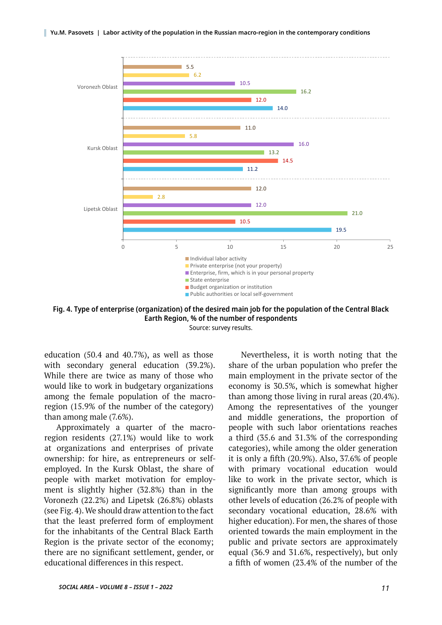

**Fig. 4. Type of enterprise (organization) of the desired main job for the population of the Central Black Earth Region, % of the number of respondents**

Source: survey results.

education (50.4 and 40.7%), as well as those with secondary general education (39.2%). While there are twice as many of those who would like to work in budgetary organizations among the female population of the macroregion (15.9% of the number of the category) than among male (7.6%).

Approximately a quarter of the macroregion residents (27.1%) would like to work at organizations and enterprises of private ownership: for hire, as entrepreneurs or selfemployed. In the Kursk Oblast, the share of people with market motivation for employment is slightly higher (32.8%) than in the Voronezh (22.2%) and Lipetsk (26.8%) oblasts (see Fig. 4). We should draw attention to the fact that the least preferred form of employment for the inhabitants of the Central Black Earth Region is the private sector of the economy; there are no significant settlement, gender, or educational differences in this respect.

Nevertheless, it is worth noting that the share of the urban population who prefer the main employment in the private sector of the economy is 30.5%, which is somewhat higher than among those living in rural areas (20.4%). Among the representatives of the younger and middle generations, the proportion of people with such labor orientations reaches a third (35.6 and 31.3% of the corresponding categories), while among the older generation it is only a fifth (20.9%). Also, 37.6% of people with primary vocational education would like to work in the private sector, which is significantly more than among groups with other levels of education (26.2% of people with secondary vocational education, 28.6% with higher education). For men, the shares of those oriented towards the main employment in the public and private sectors are approximately equal (36.9 and 31.6%, respectively), but only a fifth of women (23.4% of the number of the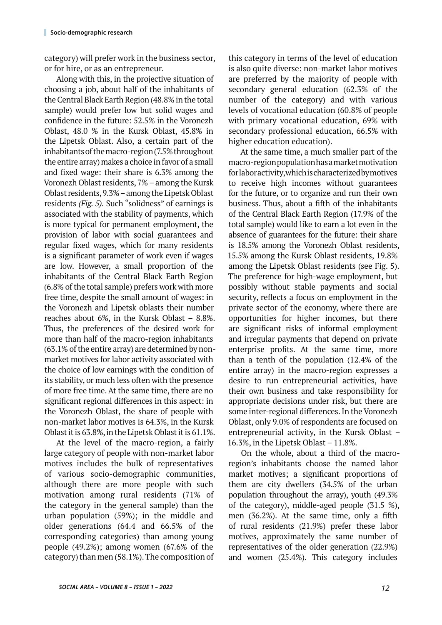category) will prefer work in the business sector, or for hire, or as an entrepreneur.

Along with this, in the projective situation of choosing a job, about half of the inhabitants of the Central Black Earth Region (48.8% in the total sample) would prefer low but solid wages and confidence in the future: 52.5% in the Voronezh Oblast, 48.0 % in the Kursk Oblast, 45.8% in the Lipetsk Oblast. Also, a certain part of the inhabitants of the macro-region (7.5% throughout the entire array) makes a choice in favor of a small and fixed wage: their share is 6.3% among the Voronezh Oblast residents, 7% – among the Kursk Oblast residents, 9.3% – among the Lipetsk Oblast residents *(Fig. 5).* Such "solidness" of earnings is associated with the stability of payments, which is more typical for permanent employment, the provision of labor with social guarantees and regular fixed wages, which for many residents is a significant parameter of work even if wages are low. However, a small proportion of the inhabitants of the Central Black Earth Region (6.8% of the total sample) prefers work with more free time, despite the small amount of wages: in the Voronezh and Lipetsk oblasts their number reaches about 6%, in the Kursk Oblast – 8.8%. Thus, the preferences of the desired work for more than half of the macro-region inhabitants (63.1% of the entire array) are determined by nonmarket motives for labor activity associated with the choice of low earnings with the condition of its stability, or much less often with the presence of more free time. At the same time, there are no significant regional differences in this aspect: in the Voronezh Oblast, the share of people with non-market labor motives is 64.3%, in the Kursk Oblast it is 63.8%, in the Lipetsk Oblast it is 61.1%.

At the level of the macro-region, a fairly large category of people with non-market labor motives includes the bulk of representatives of various socio-demographic communities, although there are more people with such motivation among rural residents (71% of the category in the general sample) than the urban population (59%); in the middle and older generations (64.4 and 66.5% of the corresponding categories) than among young people (49.2%); among women (67.6% of the category) than men (58.1%). The composition of this category in terms of the level of education is also quite diverse: non-market labor motives are preferred by the majority of people with secondary general education (62.3% of the number of the category) and with various levels of vocational education (60.8% of people with primary vocational education, 69% with secondary professional education, 66.5% with higher education education).

At the same time, a much smaller part of the macro-region population has a market motivation for labor activity, which is characterized by motives to receive high incomes without guarantees for the future, or to organize and run their own business. Thus, about a fifth of the inhabitants of the Central Black Earth Region (17.9% of the total sample) would like to earn a lot even in the absence of guarantees for the future: their share is 18.5% among the Voronezh Oblast residents, 15.5% among the Kursk Oblast residents, 19.8% among the Lipetsk Oblast residents (see Fig. 5). The preference for high-wage employment, but possibly without stable payments and social security, reflects a focus on employment in the private sector of the economy, where there are opportunities for higher incomes, but there are significant risks of informal employment and irregular payments that depend on private enterprise profits. At the same time, more than a tenth of the population (12.4% of the entire array) in the macro-region expresses a desire to run entrepreneurial activities, have their own business and take responsibility for appropriate decisions under risk, but there are some inter-regional differences. In the Voronezh Oblast, only 9.0% of respondents are focused on entrepreneurial activity, in the Kursk Oblast – 16.3%, in the Lipetsk Oblast – 11.8%.

On the whole, about a third of the macroregion's inhabitants choose the named labor market motives; a significant proportions of them are city dwellers (34.5% of the urban population throughout the array), youth (49.3% of the category), middle-aged people (31.5 %), men (36.2%). At the same time, only a fifth of rural residents (21.9%) prefer these labor motives, approximately the same number of representatives of the older generation (22.9%) and women (25.4%). This category includes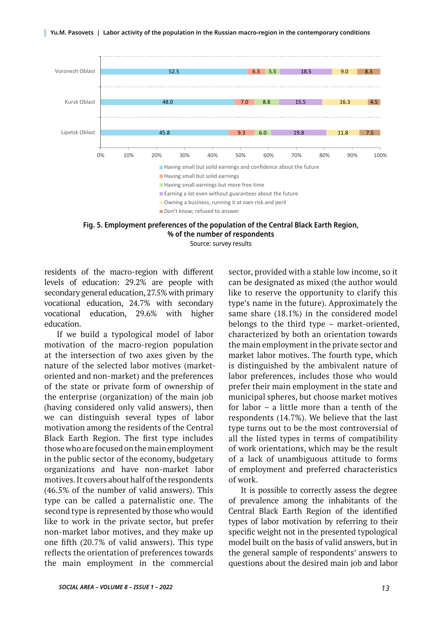

**Fig. 5. Employment preferences of the population of the Central Black Earth Region, % of the number of respondents**

Source: survey results

residents of the macro-region with different levels of education: 29.2% are people with secondary general education, 27.5% with primary vocational education, 24.7% with secondary vocational education, 29.6% with higher education.

If we build a typological model of labor motivation of the macro-region population at the intersection of two axes given by the nature of the selected labor motives (marketoriented and non-market) and the preferences of the state or private form of ownership of the enterprise (organization) of the main job (having considered only valid answers), then we can distinguish several types of labor motivation among the residents of the Central Black Earth Region. The first type includes those who are focused on the main employment in the public sector of the economy, budgetary organizations and have non-market labor motives. It covers about half of the respondents (46.5% of the number of valid answers). This type can be called a paternalistic one. The second type is represented by those who would like to work in the private sector, but prefer non-market labor motives, and they make up one fifth (20.7% of valid answers). This type reflects the orientation of preferences towards the main employment in the commercial

sector, provided with a stable low income, so it can be designated as mixed (the author would like to reserve the opportunity to clarify this type's name in the future). Approximately the same share (18.1%) in the considered model belongs to the third type – market-oriented, characterized by both an orientation towards the main employment in the private sector and market labor motives. The fourth type, which is distinguished by the ambivalent nature of labor preferences, includes those who would prefer their main employment in the state and municipal spheres, but choose market motives for labor – a little more than a tenth of the respondents (14.7%). We believe that the last type turns out to be the most controversial of all the listed types in terms of compatibility of work orientations, which may be the result of a lack of unambiguous attitude to forms of employment and preferred characteristics of work.

It is possible to correctly assess the degree of prevalence among the inhabitants of the Central Black Earth Region of the identified types of labor motivation by referring to their specific weight not in the presented typological model built on the basis of valid answers, but in the general sample of respondents' answers to questions about the desired main job and labor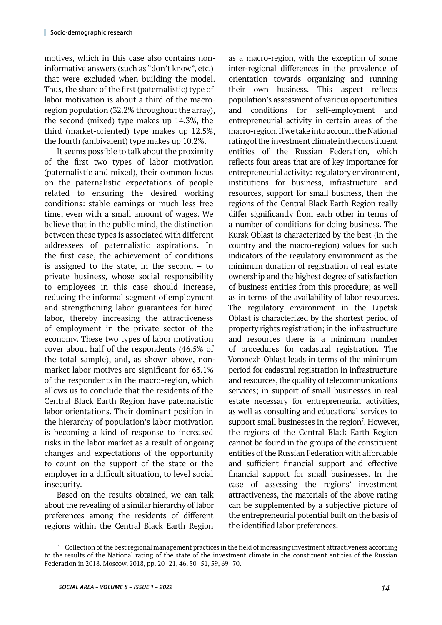motives, which in this case also contains noninformative answers (such as "don't know", etc.) that were excluded when building the model. Thus, the share of the first (paternalistic) type of labor motivation is about a third of the macroregion population (32.2% throughout the array), the second (mixed) type makes up 14.3%, the third (market-oriented) type makes up 12.5%, the fourth (ambivalent) type makes up 10.2%.

It seems possible to talk about the proximity of the first two types of labor motivation (paternalistic and mixed), their common focus on the paternalistic expectations of people related to ensuring the desired working conditions: stable earnings or much less free time, even with a small amount of wages. We believe that in the public mind, the distinction between these types is associated with different addressees of paternalistic aspirations. In the first case, the achievement of conditions is assigned to the state, in the second – to private business, whose social responsibility to employees in this case should increase, reducing the informal segment of employment and strengthening labor guarantees for hired labor, thereby increasing the attractiveness of employment in the private sector of the economy. These two types of labor motivation cover about half of the respondents (46.5% of the total sample), and, as shown above, nonmarket labor motives are significant for 63.1% of the respondents in the macro-region, which allows us to conclude that the residents of the Central Black Earth Region have paternalistic labor orientations. Their dominant position in the hierarchy of population's labor motivation is becoming a kind of response to increased risks in the labor market as a result of ongoing changes and expectations of the opportunity to count on the support of the state or the employer in a difficult situation, to level social insecurity.

Based on the results obtained, we can talk about the revealing of a similar hierarchy of labor preferences among the residents of different regions within the Central Black Earth Region

as a macro-region, with the exception of some inter-regional differences in the prevalence of orientation towards organizing and running their own business. This aspect reflects population's assessment of various opportunities and conditions for self-employment and entrepreneurial activity in certain areas of the macro-region. If we take into account the National rating of the investment climate in the constituent entities of the Russian Federation, which reflects four areas that are of key importance for entrepreneurial activity: regulatory environment, institutions for business, infrastructure and resources, support for small business, then the regions of the Central Black Earth Region really differ significantly from each other in terms of a number of conditions for doing business. The Kursk Oblast is characterized by the best (in the country and the macro-region) values for such indicators of the regulatory environment as the minimum duration of registration of real estate ownership and the highest degree of satisfaction of business entities from this procedure; as well as in terms of the availability of labor resources. The regulatory environment in the Lipetsk Oblast is characterized by the shortest period of property rights registration; in the infrastructure and resources there is a minimum number of procedures for cadastral registration. The Voronezh Oblast leads in terms of the minimum period for cadastral registration in infrastructure and resources, the quality of telecommunications services; in support of small businesses in real estate necessary for entrepreneurial activities, as well as consulting and educational services to support small businesses in the region<sup>7</sup>. However, the regions of the Central Black Earth Region cannot be found in the groups of the constituent entities of the Russian Federation with affordable and sufficient financial support and effective financial support for small businesses. In the case of assessing the regions' investment attractiveness, the materials of the above rating can be supplemented by a subjective picture of the entrepreneurial potential built on the basis of the identified labor preferences.

<sup>7</sup> Collection of the best regional management practices in the field of increasing investment attractiveness according to the results of the National rating of the state of the investment climate in the constituent entities of the Russian Federation in 2018. Moscow, 2018, pp. 20–21, 46, 50–51, 59, 69–70.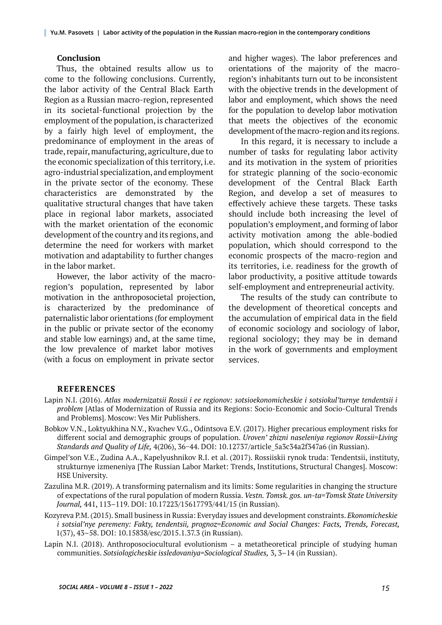#### **Conclusion**

Thus, the obtained results allow us to come to the following conclusions. Currently, the labor activity of the Central Black Earth Region as a Russian macro-region, represented in its societal-functional projection by the employment of the population, is characterized by a fairly high level of employment, the predominance of employment in the areas of trade, repair, manufacturing, agriculture, due to the economic specialization of this territory, i.e. agro-industrial specialization, and employment in the private sector of the economy. These characteristics are demonstrated by the qualitative structural changes that have taken place in regional labor markets, associated with the market orientation of the economic development of the country and its regions, and determine the need for workers with market motivation and adaptability to further changes in the labor market.

However, the labor activity of the macroregion's population, represented by labor motivation in the anthroposocietal projection, is characterized by the predominance of paternalistic labor orientations (for employment in the public or private sector of the economy and stable low earnings) and, at the same time, the low prevalence of market labor motives (with a focus on employment in private sector

and higher wages). The labor preferences and orientations of the majority of the macroregion's inhabitants turn out to be inconsistent with the objective trends in the development of labor and employment, which shows the need for the population to develop labor motivation that meets the objectives of the economic development of the macro-region and its regions.

In this regard, it is necessary to include a number of tasks for regulating labor activity and its motivation in the system of priorities for strategic planning of the socio-economic development of the Central Black Earth Region, and develop a set of measures to effectively achieve these targets. These tasks should include both increasing the level of population's employment, and forming of labor activity motivation among the able-bodied population, which should correspond to the economic prospects of the macro-region and its territories, i.e. readiness for the growth of labor productivity, a positive attitude towards self-employment and entrepreneurial activity.

The results of the study can contribute to the development of theoretical concepts and the accumulation of empirical data in the field of economic sociology and sociology of labor, regional sociology; they may be in demand in the work of governments and employment services.

#### **REFERENCES**

- Lapin N.I. (2016). *Atlas modernizatsii Rossii i ee regionov: sotsioekonomicheskie i sotsiokul'turnye tendentsii i problem* [Atlas of Modernization of Russia and its Regions: Socio-Economic and Socio-Cultural Trends and Problems]. Moscow: Ves Mir Publishers.
- Bobkov V.N., Loktyukhina N.V., Kvachev V.G., Odintsova E.V. (2017). Higher precarious employment risks for different social and demographic groups of population. *Uroven' zhizni naseleniya regionov Rossii=Living Standards and Quality of Life,* 4(206), 36−44. DOI: 10.12737/article\_5a3c34a2f347a6 (in Russian).

Gimpel'son V.E., Zudina A.A., Kapelyushnikov R.I. et al. (2017). Rossiiskii rynok truda: Tendentsii, instituty, strukturnye izmeneniya [The Russian Labor Market: Trends, Institutions, Structural Changes]. Moscow: HSE University.

- Zazulina M.R. (2019). A transforming paternalism and its limits: Some regularities in changing the structure of expectations of the rural population of modern Russia. *Vestn. Tomsk. gos. un-ta=Tomsk State University Journal*, 441, 113-119. DOI: 10.17223/15617793/441/15 (in Russian).
- Kozyreva P.M. (2015). Small business in Russia: Everyday issues and development constraints. *Ekonomicheskie i sotsial'nye peremeny: Fakty, tendentsii, prognoz=Economic and Social Changes: Facts, Trends, Forecast,* 1(37), 43–58. DOI: 10.15838/esc/2015.1.37.3 (in Russian).
- Lapin N.I. (2018). Anthroposociocultural evolutionism a metatheorеtical principle of studying human communities. *Sotsiologicheskie issledovaniya=Sociological Studies,* 3, 3‒14 (in Russian).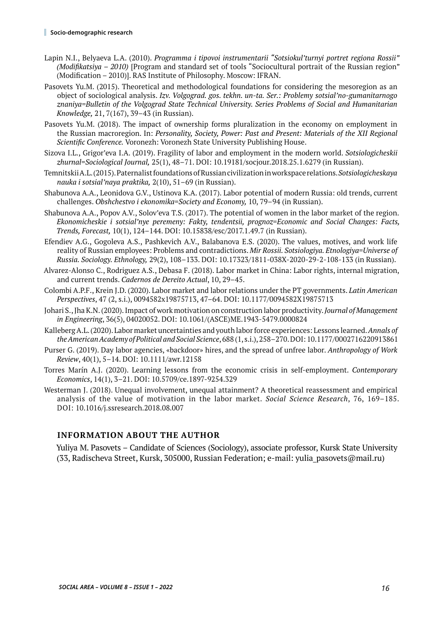- Lapin N.I., Belyaeva L.A. (2010). *Programma i tipovoi instrumentarii "Sotsiokul'turnyi portret regiona Rossii" (Modifikatsiya – 2010)* [Program and standard set of tools "Sociocultural portrait of the Russian region" (Modification – 2010)]. RAS Institute of Philosophy. Moscow: IFRAN.
- Pasovets Yu.M. (2015). Theoretical and methodological foundations for considering the mesoregion as an object of sociological analysis. *Izv. Volgograd. gos. tekhn. un-ta. Ser.: Problemy sotsial'no-gumanitarnogo znaniya=Bulletin of the Volgograd State Technical University. Series Problems of Social and Humanitarian Knowledge,* 21, 7(167), 39–43 (in Russian).
- Pasovets Yu.M. (2018). The impact of ownership forms pluralization in the economy on employment in the Russian macroregion. In: *Personality, Society, Power: Past and Present: Materials of the XII Regional Scientific Conference.* Voronezh: Voronezh State University Publishing House.
- Sizova I.L., Grigor'eva I.A. (2019). Fragility of labor and employment in the modern world. *Sotsiologicheskii zhurnal=Sociological Journal,* 25(1), 48–71. DOI: 10.19181/socjour.2018.25.1.6279 (in Russian).
- Temnitskii A.L. (2015). Paternalist foundations of Russian civilization in workspace relations. *Sotsiologicheskaya nauka i sotsial'naya praktika,* 2(10), 51‒69 (in Russian).
- Shabunova A.A., Leonidova G.V., Ustinova K.A. (2017). Labor potential of modern Russia: old trends, current challenges. *Obshchestvo i ekonomika=Society and Economy*, 10, 79–94 (in Russian).
- Shabunova A.A., Popov A.V., Solov'eva T.S. (2017). The potential of women in the labor market of the region. *Ekonomicheskie i sotsial'nye peremeny: Fakty, tendentsii, prognoz=Economic and Social Changes: Facts, Trends, Forecast,* 10(1), 124–144. DOI: 10.15838/esc/2017.1.49.7 (in Russian).
- Efendiev A.G., Gogoleva A.S., Pashkevich A.V., Balabanova E.S. (2020). The values, motives, and work life reality of Russian employees: Problems and contradictions. *Mir Rossii. Sotsiologiya. Etnologiya=Universe of Russia. Sociology. Ethnology,* 29(2), 108–133. DOI: 10.17323/1811-038X-2020-29-2-108-133 (in Russian).
- Alvarez-Alonso C., Rodriguez A.S., Debasa F. (2018). Labor market in China: Labor rights, internal migration, and current trends. *Cadernos de Dereito Actual*, 10, 29–45.
- Colombi A.P.F., Krein J.D. (2020). Labor market and labor relations under the PT governments. *Latin American Perspectives*, 47 (2, s.i.), 0094582x19875713, 47–64. DOI: 10.1177/0094582X19875713
- Johari S., Jha K.N. (2020). Impact of work motivation on construction labor productivity. *Journal of Management in Engineering*, 36(5), 04020052. DOI: 10.1061/(ASCE)ME.1943-5479.0000824
- Kalleberg A.L. (2020). Labor market uncertainties and youth labor force experiences: Lessons learned. *Annals of the American Academy of Political and Social Science*, 688 (1, s.i.), 258–270. DOI: 10.1177/0002716220913861
- Purser G. (2019). Day labor agencies, «backdoor» hires, and the spread of unfree labor. *Anthropology of Work Review*, 40(1), 5–14. DOI: 10.1111/awr.12158
- Torres Marín A.J. (2020). Learning lessons from the economic crisis in self-employment. *Contemporary Economics*, 14(1), 3–21. DOI: 10.5709/ce.1897-9254.329
- Westerman J. (2018). Unequal involvement, unequal attainment? A theoretical reassessment and empirical analysis of the value of motivation in the labor market. *Social Science Research*, 76, 169–185. DOI: 10.1016/j.ssresearch.2018.08.007

### **INFORMATION ABOUT THE AUTHOR**

Yuliya M. Pasovets – Candidate of Sciences (Sociology), associate professor, Kursk State University (33, Radischeva Street, Kursk, 305000, Russian Federation; e-mail: yulia\_pasovets@mail.ru)